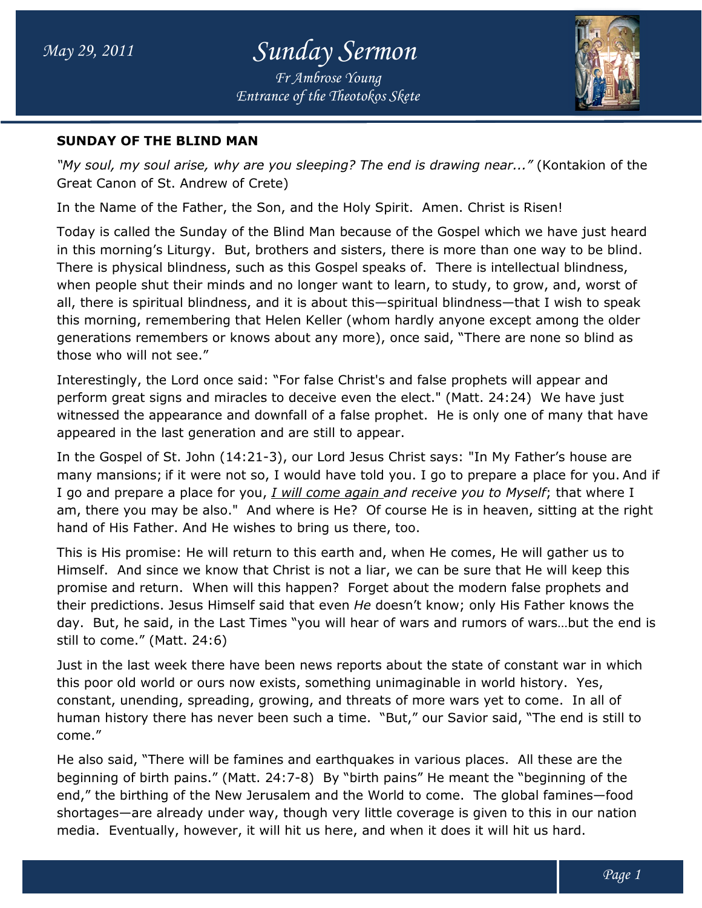*Entrance of the Theotokos Skete Fr Ambrose Young*



#### **SUNDAY OF THE BLIND MAN**

*"My soul, my soul arise, why are you sleeping? The end is drawing near..."* (Kontakion of the Great Canon of St. Andrew of Crete)

In the Name of the Father, the Son, and the Holy Spirit. Amen. Christ is Risen!

Today is called the Sunday of the Blind Man because of the Gospel which we have just heard in this morning's Liturgy. But, brothers and sisters, there is more than one way to be blind. Today is called the Sunday of the Blind Man because of the Gospel which we have just hea<br>in this morning's Liturgy. But, brothers and sisters, there is more than one way to be blind<br>There is physical blindness, such as th when people shut their minds and no longer want to learn, to study, to grow, and, worst of when people shut their minds and no longer want to learn, to study, to grow, and, worst of<br>all, there is spiritual blindness, and it is about this—spiritual blindness—that I wish to speak this morning, remembering that Helen Keller (whom hardly anyone except among the older generations remembers or knows about any more), once said, "There are none so blind as those who will not see." generations remembers or knows about any more), once said, "There are none so blind<br>those who will not see."<br>Interestingly, the Lord once said: "For false Christ's and false prophets will appear and ss—that I wish to spea<br>except among the old<br>re are none so blind as<br>ets will appear and<br>24:24) We have just

perform great signs and miracles to deceive even the elect." (Matt. 24:24) perform great signs and miracles to deceive even the elect." (Matt. 24:24) We have just<br>witnessed the appearance and downfall of a false prophet. He is only one of many that have appeared in the last generation and are still to appear. witnessed the appearance and downfall of a false prophet. He is only one of many that hav<br>appeared in the last generation and are still to appear.<br>In the Gospel of St. John (14:21-3), our Lord Jesus Christ says: "In My Fa

many mansions; if it were not so, I would have told you. I go to prepare a place for you. And if many mansions; if it were not so, I would have told you. I go to prepare a place for you. An<br>I go and prepare a place for you, <u>I will come again a</u>nd receive you to Myself; that where I am, there you may be also." And where is He? Of course He is in heaven, sitting at the right hand of His Father. And He wishes to bring us there, too.

This is His promise: He will return to this earth and, when He comes, He will gather us to Himself. And since we know that Christ is not a liar, we can be sure that He will keep this promise and return. When will this happen? am, there you may be also." And where is He? Of course He is in heaven, sitting at the rig<br>hand of His Father. And He wishes to bring us there, too.<br>This is His promise: He will return to this earth and, when He comes, He still to come." (Matt. 24:6) of His Father. And He wishes to bring us there, too.<br>is His promise: He will return to this earth and, when He comes, He will gather us to<br>:elf. And since we know that Christ is not a liar, we can be sure that He will keep

day. But, he said, in the Last Times "you will hear of wars and rumors of wars…but the end is<br>still to come." (Matt. 24:6)<br>Just in the last week there have been news reports about the state of constant war in which<br>this p Just in the last week there have been news reports about the state of constant war in which this poor old world or ours now exists, something unimaginable in world history. Yes, constant, unending, spreading, growing, and threats of more wars yet to come. come. In all of constant, unending, spreading, growing, and threats of more wars yet to come. In all of<br>human history there has never been such a time. "But," our Savior said, "The end is still to come."

He also said, "There will be famines and earthquakes in various places. All these are the beginning of birth pains." (Matt. 24:7 beginning of birth 24:7-8) By "birth pains" He meant the "beginning of the end," the birthing of the New Jerusalem and the World to come. The global famines shortages—are already under way, though very little coverage is given to this in our nation shortages—are already under way, though very little coverage is given to this in ou<br>media. Eventually, however, it will hit us here, and when it does it will hit us hard. ime. "But," our Savior said, "The end is still to<br>hquakes in various places. All these are the<br>"birth pains" He meant the "beginning of the<br>the World to come. The global famines—food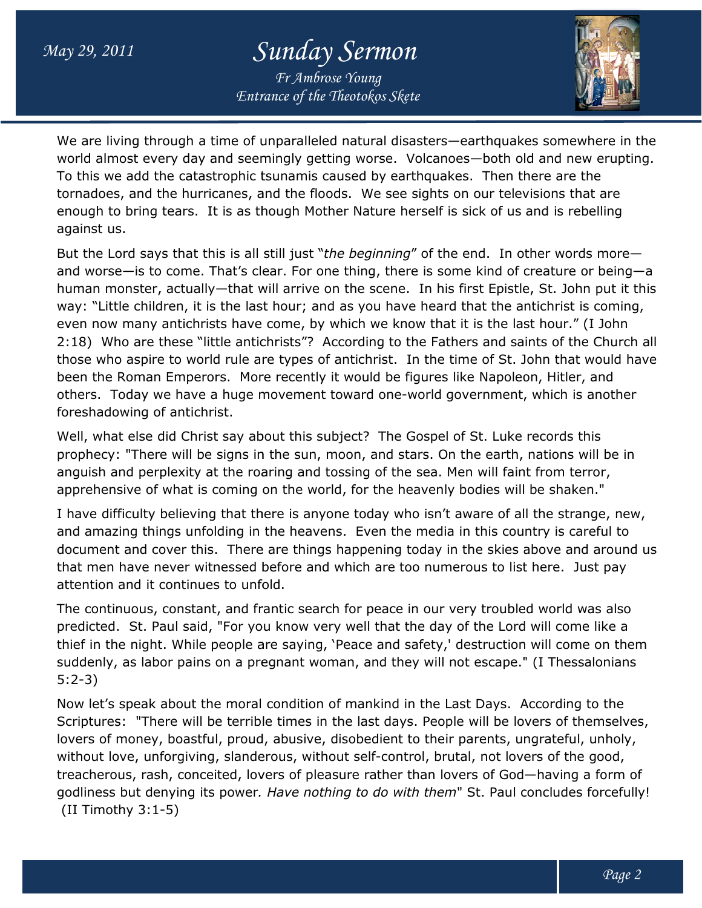## *May 29, 2011 Sunday Sermon*

*Entrance of the Theotokos Skete Fr Ambrose Young*



We are living through a time of unparalleled natural disasters—earthquakes somewhere in the world almost every day and seemingly getting worse. Volcanoes—both old and new erupting. To this we add the catastrophic tsunamis caused by earthquakes. Then there are the tornadoes, and the hurricanes, and the floods. We see sights on our televisions that are enough to bring tears. It is as though Mother Nature herself is sick of us and is rebelling against us. tornadoes, and the hurricanes, and the floods. We see sights on our televisions that are<br>enough to bring tears. It is as though Mother Nature herself is sick of us and is rebelling<br>against us.<br>But the Lord says that this i

and worse—is to come. That's clear. For one thing, there is some kind of creature or being—a human monster, actually—that will arrive on the scene. In his first Epistle, St. John put it this way: "Little children, it is the last hour; and as you have heard that the antichrist is coming, even now many antichrists have come, by which we know that it is the last hour." (I John 2:18) Who are these "little antichrists"? According to the Fathers and saints of the Church all those who aspire to world rule are types of antichrist. In the time of St. John that would have been the Roman Emperors. More recently it would be figures like Napoleon, Hitler, and been the Roman Emperors. More recently it would be figures like Napoleon, Hitler, and<br>others. Today we have a huge movement toward one-world government, which is another foreshadowing of antichrist. children, it is the last hour; and as you have heard that the antichrist is coming,<br>any antichrists have come, by which we know that it is the last hour." (I John<br>are these "little antichrists"? According to the Fathers an In his first Epistle, St. John put it this<br>e heard that the antichrist is coming,<br>ow that it is the last hour." (I John<br>the Fathers and saints of the Church all<br>In the time of St. John that would have<br>figures like Napoleon

Well, what else did Christ say about this subject? The Gospel of St. Luke records this prophecy: "There will be signs in the sun, moon, and stars. On the earth, nations will be in anguish and perplexity at the roaring and tossing of the sea. Men will faint from terror, apprehensive of what is coming on the world, for the heavenly bodies will be shaken." prophecy: "There will be signs in the sun, moon, and stars. On the earth, nations will be in<br>anguish and perplexity at the roaring and tossing of the sea. Men will faint from terror,<br>apprehensive of what is coming on the w

I have difficulty believing that there is anyone today who isn't aware of all the strange, new, and amazing things unfolding in the heavens. Even the media in this country is careful to document and cover this. There are things happening today in the skies above and around us that men have never witnessed before and which are too numerous to list here. attention and it continues to unfold. t and cover this. There are things happening today in the skies above and around us<br>have never witnessed before and which are too numerous to list here. Just pay<br>and it continues to unfold.<br>nuous, constant, and frantic sea here. Just pay

The continuous, constant, and frantic search for peace in our very troubled world was also predicted. St. Paul said, "For you know very well that the day of the Lord will come like a thief in the night. While people are saying, 'Peace and safety,' destruction will come on them suddenly, as labor pains on a pregnant woman, and they will not escape." (I Thessalonians 5:2-3) predicted. St. Paul said, "For you know very well that the day of the Lord will come like a<br>thief in the night. While people are saying, `Peace and safety,' destruction will come on th<br>suddenly, as labor pains on a pregnan antic search for peace in our very troubled world was also<br>u know very well that the day of the Lord will come like a<br>ire saying, 'Peace and safety,' destruction will come on them<br>egnant woman, and they will not escape." (

Now let's speak about the moral condition of mankind in the Last Days. Scriptures: "There will be terrible times in the last days. People will be lovers of themselves, lovers of money, boastful, proud, abusive, disobedient to their parents, ungrateful, unholy, Scriptures: "There will be terrible times in the last days. People will be lovers of themselv<br>lovers of money, boastful, proud, abusive, disobedient to their parents, ungrateful, unholy<br>without love, unforgiving, slanderou without love, unforgiving, slanderous, without self-control, brutal, not lovers of the good,<br>treacherous, rash, conceited, lovers of pleasure rather than lovers of God—having a form of godliness but denying its power*. Have nothing to do with them*" St. Paul concludes forcefully! (II Timothy 3:1-5)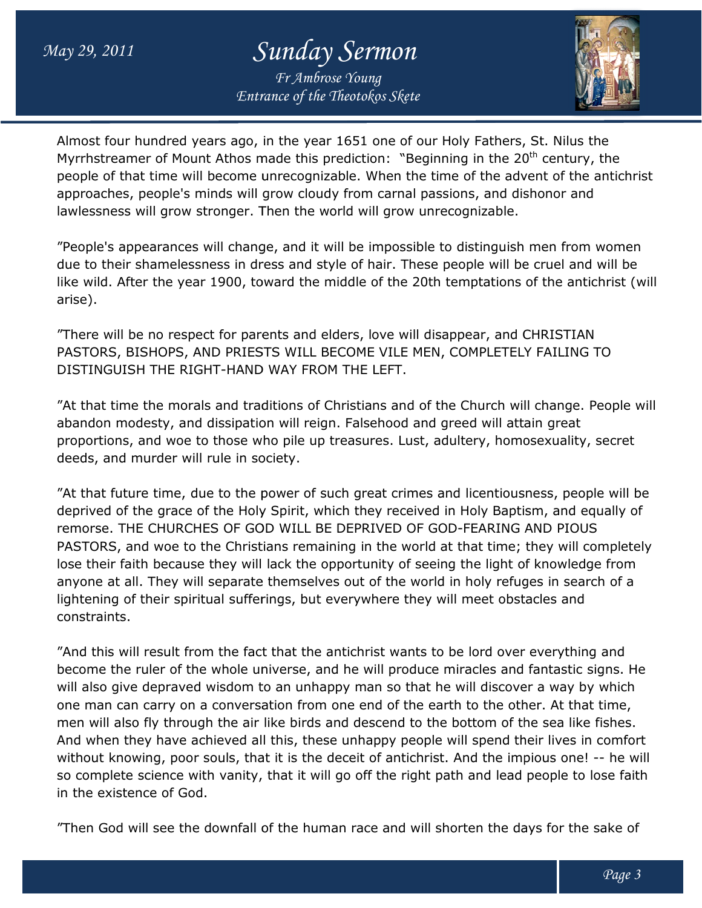# *May 29, 2011 Sunday Sermon*

*Entrance of the Theotokos Skete Fr Ambrose Young*



Almost four hundred years ago, in the year 1651 one of our Holy Fathers, St. Nilus the Almost four hundred years ago, in the year 1651 one of our Holy Fathers, St. Nilus the<br>Myrrhstreamer of Mount Athos made this prediction: "Beginning in the 20<sup>th</sup> century, the people of that time will become unrecognizable. When the time of the advent of the antichrist approaches, people's minds will grow cloudy from carnal passions, and dishonor and lawlessness will grow stronger. Then the world will grow unrecognizable.

"People's appearances will change, and it will be impossible to distinguish men from women due to their shamelessness in dress and style of hair. These people will be cruel and will be like wild. After the year 1900, toward the middle of the 20th temptations of the antichrist (will arise). lawlessness will grow stronger. Then the world will grow unrecognizable.<br>"People's appearances will change, and it will be impossible to distinguish men from women<br>due to their shamelessness in dress and style of hair. The

"There will be no respect for parents and elders, love will disappear, and CHRISTIAN PASTORS, BISHOPS, AND PRIESTS WILL BECOME VILE MEN, COMPLETELY FAIL FAILING TO DISTINGUISH THE RIGHT-HAND WAY FROM THE LEFT.

"At that time the morals and traditions of Christians and of the Church will change. People will abandon modesty, and dissipation will reign. Falsehood and greed will attain great proportions, and woe to those who pile up treasures. Lust, adultery, homosexuality, secret deeds, and murder will rule in society.

"At that future time, due to the power of such great crimes and licentiousness, people will be deprived of the grace of the Holy Spirit, which they received in Holy Baptism, and equally of remorse. THE CHURCHES OF GOD WILL BE DEPRIVED OF GOD-FEARING AND PIOUS PASTORS, and woe to the Christians remaining in the world at that time; they will completely PASTORS, and woe to the Christians remaining in the world at that time; they will complete<br>lose their faith because they will lack the opportunity of seeing the light of knowledge from anyone at all. They will separate themselves out of the world in holy refuges in search of a lightening of their spiritual sufferings, but everywhere they will meet obstacles and constraints.

"And this will result from the fact that the antichrist wants to be lord over everything and become the ruler of the whole universe, and he will produce miracles and fantastic signs. He will also give depraved wisdom to an unhappy man so that he will discover a way by which one man can carry on a conversation from one end of the earth to the other. At that time, men will also fly through the air like birds and descend to the bottom of the sea like fishes. And when they have achieved all this, these unhappy people will spend their lives in comfort without knowing, poor souls, that it is the deceit of antichrist. And the impious one! -- he will so complete science with vanity, that it will go off the right path and lead people to lose faith in the existence of God. anyone at all. They will separate themselves out of the world in holy refuges in search of a<br>lightening of their spiritual sufferings, but everywhere they will meet obstacles and<br>constraints.<br>"And this will result from the knowing, poor souls, that it is the deceit of antichrist. And the impious one! -- he wi<br>lete science with vanity, that it will go off the right path and lead people to lose faith<br>vistence of God.<br>od will see the downfall o PRIVED OF GOD-FEARING AND PIOUS<br>in the world at that time; they will completely<br>tunity of seeing the light of knowledge from<br>it of the world in holy refuges in search of a<br>vwhere they will meet obstacles and<br>hrist wants to

"Then God will see the downfall of the human race and will shorten the days for the sake of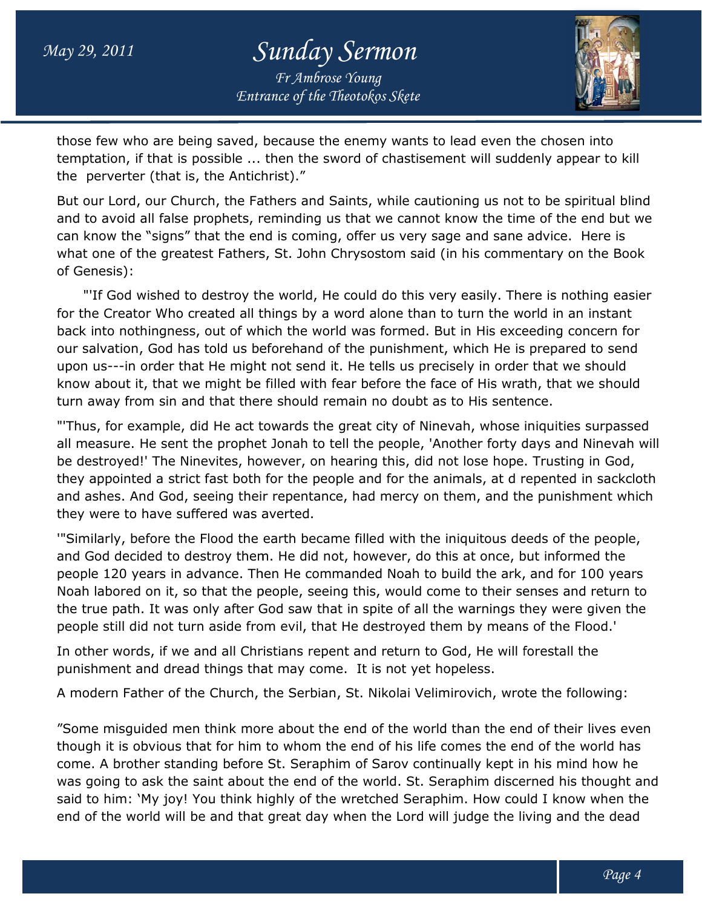#### *May 29, 2011 Sunday Sermon Entrance of the Theotokos Skete Fr Ambrose Young*



those few who are being saved, because the enemy wants to lead even the chosen into those few who are being saved, because the enemy wants to lead even the chosen into<br>temptation, if that is possible ... then the sword of chastisement will suddenly appear to kill the perverter (that is, the Antichrist)."

the perverter (that is, the Antichrist)."<br>But our Lord, our Church, the Fathers and Saints, while cautioning us not to be spiritual blind and to avoid all false prophets, reminding us that we cannot know the time of the end but we can know the "signs" that the end is coming, offer us very sage and sane advice. Here is and to avoid all false prophets, reminding us that we cannot know the time of the end but we<br>can know the "signs" that the end is coming, offer us very sage and sane advice. Here is<br>what one of the greatest Fathers, St. J of Genesis):

"'If God wished to destroy the world, He could do this very easily. There is nothing easier for the Creator Who created all things by a word alone than to turn the world in an instant back into nothingness, out of which the world was formed. But in His exceeding concern for our salvation, God has told us beforehand of the punishment, which He is prepared to send upon us---in order that He might not send it. He tells us precisely in order that we should upon us---in order that He might not send it. He tells us precisely in order that we should<br>know about it, that we might be filled with fear before the face of His wrath, that we should turn away from sin and that there should remain no doubt as to His sentence. "If God wished to destroy the world, He could do this very easily. There is nothing easie<br>the Creator Who created all things by a word alone than to turn the world in an instant<br>k into nothingness, out of which the world w

"'Thus, for example, did He act towards the great city of Ninevah, whose iniquities surpassed all measure. He sent the prophet Jonah to tell the people, 'Another forty days and Ninevah will be destroyed!' The Ninevites, however, on hearing this, did not lose hope. Trusting in God, they appointed a strict fast both for the people and for the animals, at d repented in sackcloth and ashes. And God, seeing their repentance, had mercy on them, and the punishment which they were to have suffered was averted. turn away from sin and that there should remain no doubt as to His sentence.<br>"Thus, for example, did He act towards the great city of Ninevah, whose iniquities surpassed<br>all measure. He sent the prophet Jonah to tell the p in order that He might not send it. He tells us precisely in order that we should<br>t it, that we might be filled with fear before the face of His wrath, that we should<br>from sin and that there should remain no doubt as to Hi

'"Similarly, before the Flood the earth became filled with the iniquitous deeds of the people, and God decided to destroy them. He did not, however, do this at once, but informed the people 120 years in advance. Then He commanded Noah to build the ark, and for 100 years Noah labored on it, so that the people, seeing this, would come to their senses and return to the true path. It was only after God saw that in spite of all the warnings they were given given the people still did not turn aside from evil, that He destroyed them by means of the Flood.'

In other words, if we and all Christians repent and return to God, He will forestall the punishment and dread things that may come. It is not yet hopeless. th. It was only after God saw that in spite of all the warnings they<br>did not turn aside from evil, that He destroyed them by means of t<br>rds, if we and all Christians repent and return to God, He will fores<br>: and dread thin

A modern Father of the Church, the Serbian, St. Nikolai Velimirovich, wrote the following:

"Some misguided men think more about the end of the world than the end of their lives even though it is obvious that for him to whom the end of his life comes the end of the world has come. A brother standing before St. Seraphim of Sarov continually kept in his mind how he was going to ask the saint about the end of the world. St. Seraphim discerned his thought and said to him: 'My joy! You think highly of the wretched Seraphim. How could I know when the end of the world will be and that great day when the Lord will judge the living and the dead Father of the Church, the Serbian, St. Nikolai Velimirovich, wrote the following:<br>sguided men think more about the end of the world than the end of their lives ever<br>is obvious that for him to whom the end of his life comes e. A brother standing before St. Seraphim of Sarov continually kept in his mind how he<br>going to ask the saint about the end of the world. St. Seraphim discerned his thought an<br>to him: `My joy! You think highly of the wretc d of his life comes the end<br>Sarov continually kept in h<br>vorld. St. Seraphim discern<br>ched Seraphim. How could